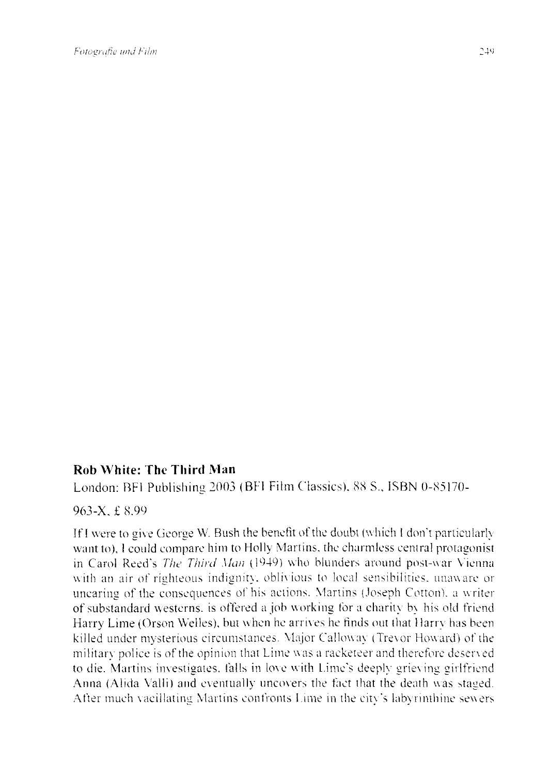## **Roh White: The Third Man**

London: BFI Publishing *2003* (BFI Film Classics). 88 S., ISBN 0-85170-

963-X, f 8.99

If I were to give George W. Bush the benefit of the doubt (which I don't particularly want to). l could compare him to Holly Martins, the charmless central protagonist in Carol Reed's *The Third Man* (1949) who blunders around post-war Vienna with an air of righteous indignity, oblivious to local sensibilities, unaware or uncaring of the consequences of his actions. Martins (Joseph Cotton), a writer of substandard westerns, is offered a job working for a charity by his old friend Harry Lime (Orson Welles), but when he arriws he finds out that Harry has been killed under mysterious circumstances. Major Calloway ( Trevor Howard) of the military police is of the opinion that Lime was a racketeer and therefore deserved to die. Martins investigates, falls in love with Lime's deeply grieving girlfriend Anna (Alida Valli) and eventually uncovers the fact that the death was staged. After much Yacillating Martins confronts Lime in the city's labyrinthine sewers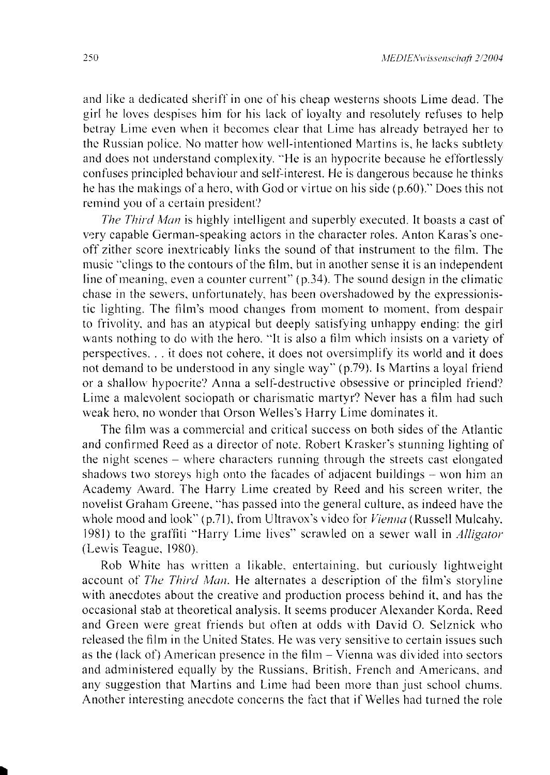and like a dedicated sheriff in one of his cheap westerns shoots Lirne dead. The girl he loves despises him for his lack of ioyalty and resolutely refuses to help betray Lime even when it becomcs clear that Lime has already betrayed her to the Russian police. No matter how well-intentioned Martins is. he lacks subtlety and does not understand complexity. "He is an hypocrite because he effortlessly confuses principled behaviour and self-intcrest. He is dangerous because he thinks he has the makings of a hero, with God or virtue on his side  $(p.60)$ ." Does this not remind you of a certain president?

*The Third Man* is highly intelligent and superbly executed. It boasts a cast of very capable German-speaking actors in the character roles. Anton Karas's oneoff zither score inextricably links the sound of that instrument to the film. The music "clings to the contours of the film, but in another sense it is an independent line of meaning, even a counter current"  $(p.34)$ . The sound design in the climatic chase in the sewers, unfortunately, has been overshadowed by the expressionistic lighting. The film's mood changes from moment to moment. from despair to frivolity. and has an atypical but deeply satisfying unhappy ending: the girl wants nothing to do with the hero. "It is also a film which insists on a variety of perspectives ... it does not cohere, it does not oversirnplify its world and it does not demand to be understood in any single way" (p.79). Is Martins a loyal friend or a shallow hypocrite'? Anna a self-destructive obsessive or principled friend? Lime a malevolent sociopath or charismatic martyr? Never has a film had such weak hero, no wonder that Orson Welles's Harry Lime dominates it.

The film was a commercial and critical success on both sides of the Atlantic and confirmed Reed as a director of note. Robert Krasker's stunning lighting of the night scenes - where characters running through the streets cast elongated shadows two storeys high onto the facades of adjacent buildings – won him an Academy Award. The Harry Lime created by Reed and his screen writer. the novelist Graham Greene, "has passed into the general culture, as indeed have the whole mood and look" (p.71), from Ultravox's video for *Vienna* (Russell Mulcahy, 1981) to the graffiti "Harry Lime lives" scrawled on a sewer \Val! in *Alligator*  (Lewis Teague. 1980).

Rob White has written a likable. entertaining. but curiously lightweight account of *The Third Man*. He alternates a description of the film's storyline with anecdotes about the creative and production process behind it. and has the occasional stab at theoretical analysis. lt seems producer Alexander Korda, Reed and Green were great friends but often at odds \\ ith David 0. Selznick who released the film in the United States. He was very sensitive to certain issues such as the (lack of) American presence in the film - Yienna was divided into sectors and adrninistered equally by the Russians. British. French and Americans. and any suggestion that Martins and Lime had been more than just school chums. Another interesting anecdote concerns the fact that if Welles had turned the role

•